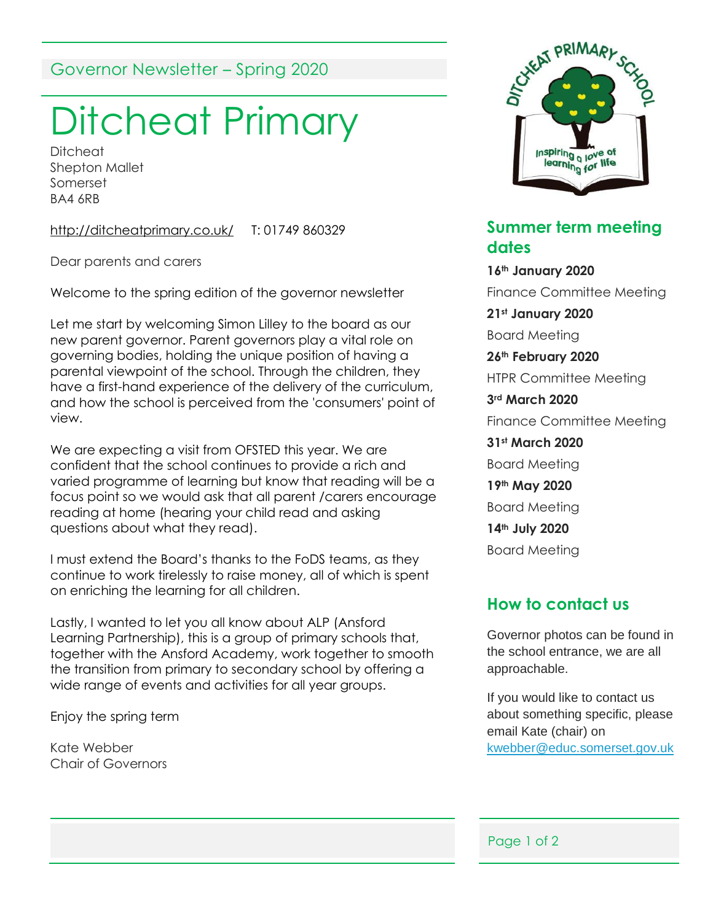# Governor Newsletter – Spring 2020

# Ditcheat Primary

**Ditcheat** Shepton Mallet Somerset BA4 6RB

<http://ditcheatprimary.co.uk/> T: 01749 860329

Dear parents and carers

Welcome to the spring edition of the governor newsletter

Let me start by welcoming Simon Lilley to the board as our new parent governor. Parent governors play a vital role on governing bodies, holding the unique position of having a parental viewpoint of the school. Through the children, they have a first-hand experience of the delivery of the curriculum, and how the school is perceived from the 'consumers' point of view.

We are expecting a visit from OFSTED this year. We are confident that the school continues to provide a rich and varied programme of learning but know that reading will be a focus point so we would ask that all parent /carers encourage reading at home (hearing your child read and asking questions about what they read).

I must extend the Board's thanks to the FoDS teams, as they continue to work tirelessly to raise money, all of which is spent on enriching the learning for all children.

Lastly, I wanted to let you all know about ALP (Ansford Learning Partnership), this is a group of primary schools that, together with the Ansford Academy, work together to smooth the transition from primary to secondary school by offering a wide range of events and activities for all year groups.

Enjoy the spring term

Kate Webber Chair of Governors



### **Summer term meeting dates**

**16th January 2020** Finance Committee Meeting **21st January 2020** Board Meeting **26th February 2020** HTPR Committee Meeting **3rd March 2020** Finance Committee Meeting **31st March 2020** Board Meeting **19th May 2020** Board Meeting **14th July 2020** Board Meeting

# **How to contact us**

Governor photos can be found in the school entrance, we are all approachable.

If you would like to contact us about something specific, please email Kate (chair) on [kwebber@educ.somerset.gov.uk](mailto:kwebber@educ.somerset.gov.uk)

#### Page 1 of 2